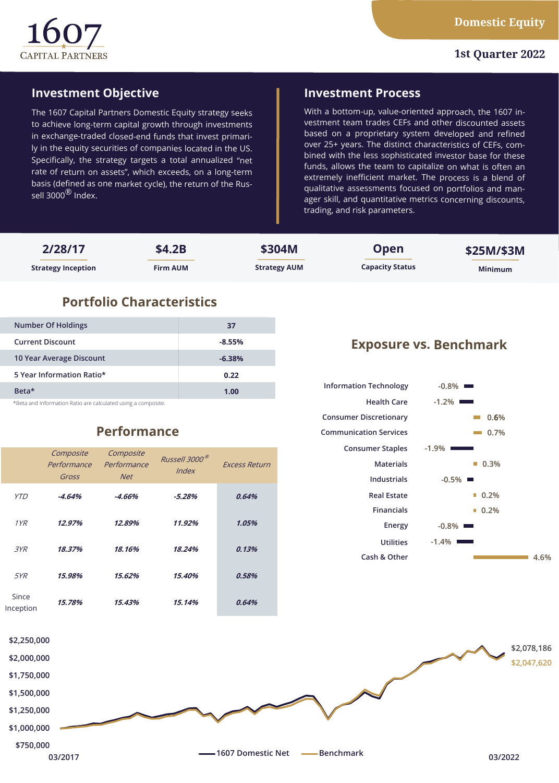

### **1st Quarter 2022**

# **Investment Objective**

The 1607 Capital Partners Domestic Equity strategy seeks to achieve long-term capital growth through investments in exchange-traded closed-end funds that invest primarily in the equity securities of companies located in the US. Specifically, the strategy targets a total annualized "net rate of return on assets", which exceeds, on a long-term basis (defined as one market cycle), the return of the Russell 3000 $^{\circledR}$  Index.

## **Investment Process**

With a bottom-up, value-oriented approach, the 1607 investment team trades CEFs and other discounted assets based on a proprietary system developed and refined over 25+ years. The distinct characteristics of CEFs, combined with the less sophisticated investor base for these funds, allows the team to capitalize on what is often an extremely inefficient market. The process is a blend of qualitative assessments focused on portfolios and manager skill, and quantitative metrics concerning discounts, trading, and risk parameters.

| 2/28/17                   | \$4.2B          | \$304M              | <b>Open</b>            | \$25M/\$3M     |
|---------------------------|-----------------|---------------------|------------------------|----------------|
| <b>Strategy Inception</b> | <b>Firm AUM</b> | <b>Strategy AUM</b> | <b>Capacity Status</b> | <b>Minimum</b> |

# **Portfolio Characteristics**

| Number Of Holdings                                           | 37       |  |  |  |
|--------------------------------------------------------------|----------|--|--|--|
| <b>Current Discount</b>                                      | $-8.55%$ |  |  |  |
| 10 Year Average Discount                                     | $-6.38%$ |  |  |  |
| 5 Year Information Ratio*                                    | 0.22     |  |  |  |
| Beta <sup>*</sup>                                            | 1.00     |  |  |  |
| *Retained Information Patie are calculated using a compesite |          |  |  |  |

\*Beta and Information Ratio are calculated using a composite.

# **Performance**

|                    | Composite<br>Performance<br>Gross | Composite<br>Performance<br><b>Net</b> | Russell 3000 <sup>®</sup><br><i><u><b>Index</b></u></i> | <b>Excess Return</b> |
|--------------------|-----------------------------------|----------------------------------------|---------------------------------------------------------|----------------------|
| YTD                | $-4.64%$                          | -4.66%                                 | $-5.28%$                                                | 0.64%                |
| 1YR                | 12.97%                            | 12.89%                                 | 11.92%                                                  | 1.05%                |
| 3YR                | 18.37%                            | 18.16%                                 | 18.24%                                                  | 0.13%                |
| <i>5YR</i>         | 15.98%                            | 15.62%                                 | 15.40%                                                  | 0.58%                |
| Since<br>Inception | 15.78%                            | 15.43%                                 | 15.14%                                                  | 0.64%                |

# **Exposure vs. Benchmark**